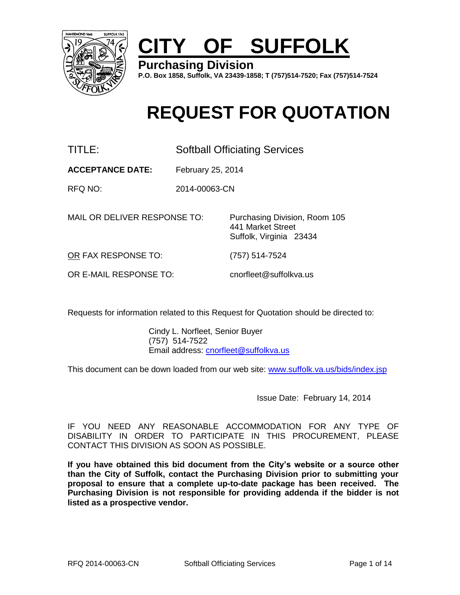

# **CITY OF SUFFOLK**

**Purchasing Division**

**P.O. Box 1858, Suffolk, VA 23439-1858; T (757)514-7520; Fax (757)514-7524**

# **REQUEST FOR QUOTATION**

TITLE: Softball Officiating Services

**ACCEPTANCE DATE:** February 25, 2014

RFQ NO: 2014-00063-CN

MAIL OR DELIVER RESPONSE TO: Purchasing Division, Room 105

441 Market Street Suffolk, Virginia 23434

OR FAX RESPONSE TO: (757) 514-7524

OR E-MAIL RESPONSE TO: cnorfleet@suffolkva.us

Requests for information related to this Request for Quotation should be directed to:

Cindy L. Norfleet, Senior Buyer (757) 514-7522 Email address: cnorfleet@suffolkva.us

This document can be down loaded from our web site: [www.suffolk.va.us/bids/index.jsp](http://www.suffolk.va.us/bids/index.jsp)

Issue Date: February 14, 2014

IF YOU NEED ANY REASONABLE ACCOMMODATION FOR ANY TYPE OF DISABILITY IN ORDER TO PARTICIPATE IN THIS PROCUREMENT, PLEASE CONTACT THIS DIVISION AS SOON AS POSSIBLE.

**If you have obtained this bid document from the City's website or a source other than the City of Suffolk, contact the Purchasing Division prior to submitting your proposal to ensure that a complete up-to-date package has been received. The Purchasing Division is not responsible for providing addenda if the bidder is not listed as a prospective vendor.**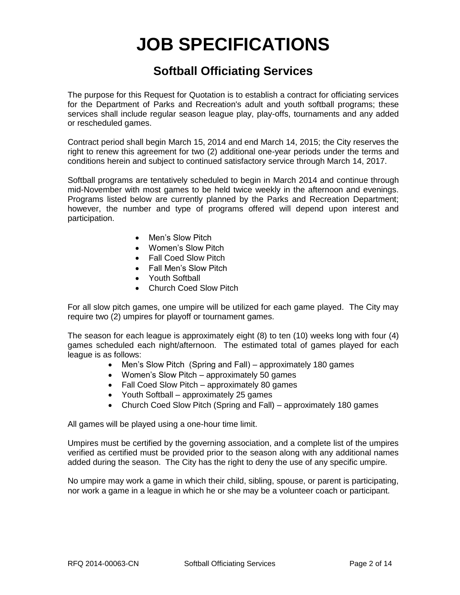# **JOB SPECIFICATIONS**

# **Softball Officiating Services**

The purpose for this Request for Quotation is to establish a contract for officiating services for the Department of Parks and Recreation's adult and youth softball programs; these services shall include regular season league play, play-offs, tournaments and any added or rescheduled games.

Contract period shall begin March 15, 2014 and end March 14, 2015; the City reserves the right to renew this agreement for two (2) additional one-year periods under the terms and conditions herein and subject to continued satisfactory service through March 14, 2017.

Softball programs are tentatively scheduled to begin in March 2014 and continue through mid-November with most games to be held twice weekly in the afternoon and evenings. Programs listed below are currently planned by the Parks and Recreation Department; however, the number and type of programs offered will depend upon interest and participation.

- Men's Slow Pitch
- Women's Slow Pitch
- Fall Coed Slow Pitch
- Fall Men's Slow Pitch
- Youth Softball
- Church Coed Slow Pitch

For all slow pitch games, one umpire will be utilized for each game played. The City may require two (2) umpires for playoff or tournament games.

The season for each league is approximately eight (8) to ten (10) weeks long with four (4) games scheduled each night/afternoon. The estimated total of games played for each league is as follows:

- Men's Slow Pitch (Spring and Fall) approximately 180 games
- Women's Slow Pitch approximately 50 games
- Fall Coed Slow Pitch approximately 80 games
- Youth Softball approximately 25 games
- Church Coed Slow Pitch (Spring and Fall) approximately 180 games

All games will be played using a one-hour time limit.

Umpires must be certified by the governing association, and a complete list of the umpires verified as certified must be provided prior to the season along with any additional names added during the season. The City has the right to deny the use of any specific umpire.

No umpire may work a game in which their child, sibling, spouse, or parent is participating, nor work a game in a league in which he or she may be a volunteer coach or participant.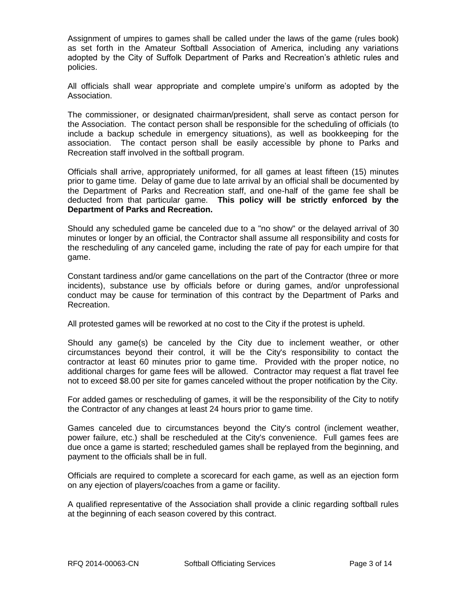Assignment of umpires to games shall be called under the laws of the game (rules book) as set forth in the Amateur Softball Association of America, including any variations adopted by the City of Suffolk Department of Parks and Recreation's athletic rules and policies.

All officials shall wear appropriate and complete umpire's uniform as adopted by the Association.

The commissioner, or designated chairman/president, shall serve as contact person for the Association. The contact person shall be responsible for the scheduling of officials (to include a backup schedule in emergency situations), as well as bookkeeping for the association. The contact person shall be easily accessible by phone to Parks and Recreation staff involved in the softball program.

Officials shall arrive, appropriately uniformed, for all games at least fifteen (15) minutes prior to game time. Delay of game due to late arrival by an official shall be documented by the Department of Parks and Recreation staff, and one-half of the game fee shall be deducted from that particular game. **This policy will be strictly enforced by the Department of Parks and Recreation.**

Should any scheduled game be canceled due to a "no show" or the delayed arrival of 30 minutes or longer by an official, the Contractor shall assume all responsibility and costs for the rescheduling of any canceled game, including the rate of pay for each umpire for that game.

Constant tardiness and/or game cancellations on the part of the Contractor (three or more incidents), substance use by officials before or during games, and/or unprofessional conduct may be cause for termination of this contract by the Department of Parks and Recreation.

All protested games will be reworked at no cost to the City if the protest is upheld.

Should any game(s) be canceled by the City due to inclement weather, or other circumstances beyond their control, it will be the City's responsibility to contact the contractor at least 60 minutes prior to game time. Provided with the proper notice, no additional charges for game fees will be allowed. Contractor may request a flat travel fee not to exceed \$8.00 per site for games canceled without the proper notification by the City.

For added games or rescheduling of games, it will be the responsibility of the City to notify the Contractor of any changes at least 24 hours prior to game time.

Games canceled due to circumstances beyond the City's control (inclement weather, power failure, etc.) shall be rescheduled at the City's convenience. Full games fees are due once a game is started; rescheduled games shall be replayed from the beginning, and payment to the officials shall be in full.

Officials are required to complete a scorecard for each game, as well as an ejection form on any ejection of players/coaches from a game or facility.

A qualified representative of the Association shall provide a clinic regarding softball rules at the beginning of each season covered by this contract.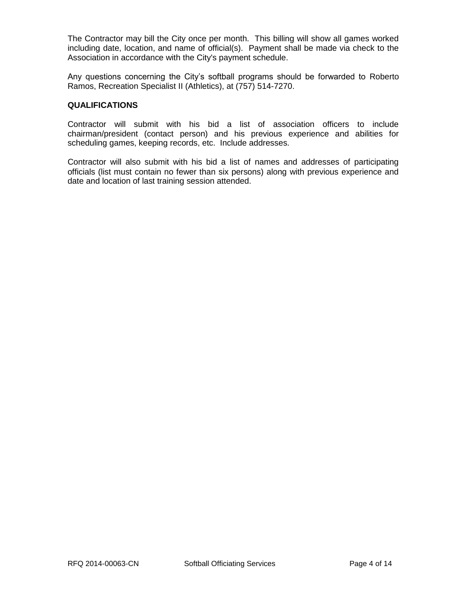The Contractor may bill the City once per month. This billing will show all games worked including date, location, and name of official(s). Payment shall be made via check to the Association in accordance with the City's payment schedule.

Any questions concerning the City's softball programs should be forwarded to Roberto Ramos, Recreation Specialist II (Athletics), at (757) 514-7270.

#### **QUALIFICATIONS**

Contractor will submit with his bid a list of association officers to include chairman/president (contact person) and his previous experience and abilities for scheduling games, keeping records, etc. Include addresses.

Contractor will also submit with his bid a list of names and addresses of participating officials (list must contain no fewer than six persons) along with previous experience and date and location of last training session attended.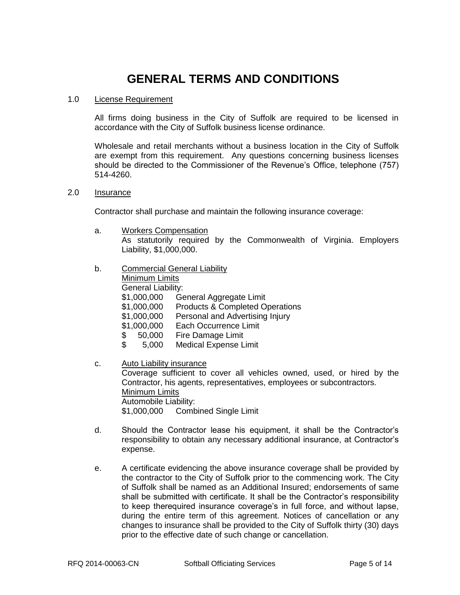## **GENERAL TERMS AND CONDITIONS**

#### 1.0 License Requirement

All firms doing business in the City of Suffolk are required to be licensed in accordance with the City of Suffolk business license ordinance.

Wholesale and retail merchants without a business location in the City of Suffolk are exempt from this requirement. Any questions concerning business licenses should be directed to the Commissioner of the Revenue's Office, telephone (757) 514-4260.

#### 2.0 Insurance

Contractor shall purchase and maintain the following insurance coverage:

- a. Workers Compensation As statutorily required by the Commonwealth of Virginia. Employers Liability, \$1,000,000.
- b. Commercial General Liability

| Minimum Limits            |                                            |  |  |  |
|---------------------------|--------------------------------------------|--|--|--|
| <b>General Liability:</b> |                                            |  |  |  |
| \$1,000,000               | General Aggregate Limit                    |  |  |  |
| \$1,000,000               | <b>Products &amp; Completed Operations</b> |  |  |  |
| \$1,000,000               | Personal and Advertising Injury            |  |  |  |
| \$1,000,000               | <b>Each Occurrence Limit</b>               |  |  |  |
| 50,000<br>\$              | Fire Damage Limit                          |  |  |  |
| $\mathbb{S}^-$<br>5,000   | <b>Medical Expense Limit</b>               |  |  |  |
|                           |                                            |  |  |  |

c. Auto Liability insurance

Coverage sufficient to cover all vehicles owned, used, or hired by the Contractor, his agents, representatives, employees or subcontractors. Minimum Limits Automobile Liability: \$1,000,000 Combined Single Limit

- d. Should the Contractor lease his equipment, it shall be the Contractor's responsibility to obtain any necessary additional insurance, at Contractor's expense.
- e. A certificate evidencing the above insurance coverage shall be provided by the contractor to the City of Suffolk prior to the commencing work. The City of Suffolk shall be named as an Additional Insured; endorsements of same shall be submitted with certificate. It shall be the Contractor's responsibility to keep therequired insurance coverage's in full force, and without lapse, during the entire term of this agreement. Notices of cancellation or any changes to insurance shall be provided to the City of Suffolk thirty (30) days prior to the effective date of such change or cancellation.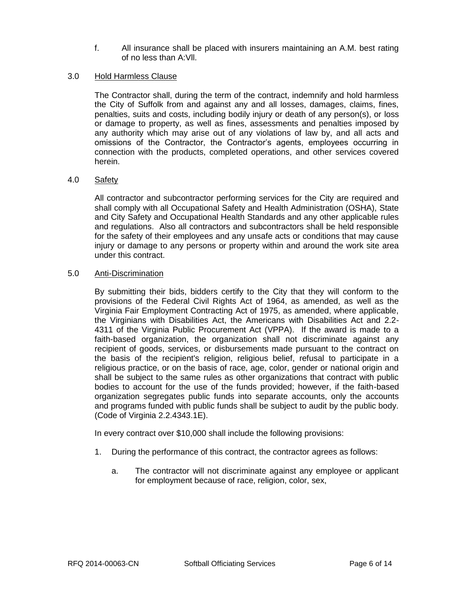f. All insurance shall be placed with insurers maintaining an A.M. best rating of no less than A:Vll.

## 3.0 Hold Harmless Clause

The Contractor shall, during the term of the contract, indemnify and hold harmless the City of Suffolk from and against any and all losses, damages, claims, fines, penalties, suits and costs, including bodily injury or death of any person(s), or loss or damage to property, as well as fines, assessments and penalties imposed by any authority which may arise out of any violations of law by, and all acts and omissions of the Contractor, the Contractor's agents, employees occurring in connection with the products, completed operations, and other services covered herein.

## 4.0 Safety

All contractor and subcontractor performing services for the City are required and shall comply with all Occupational Safety and Health Administration (OSHA), State and City Safety and Occupational Health Standards and any other applicable rules and regulations. Also all contractors and subcontractors shall be held responsible for the safety of their employees and any unsafe acts or conditions that may cause injury or damage to any persons or property within and around the work site area under this contract.

#### 5.0 Anti-Discrimination

By submitting their bids, bidders certify to the City that they will conform to the provisions of the Federal Civil Rights Act of 1964, as amended, as well as the Virginia Fair Employment Contracting Act of 1975, as amended, where applicable, the Virginians with Disabilities Act, the Americans with Disabilities Act and 2.2- 4311 of the Virginia Public Procurement Act (VPPA). If the award is made to a faith-based organization, the organization shall not discriminate against any recipient of goods, services, or disbursements made pursuant to the contract on the basis of the recipient's religion, religious belief, refusal to participate in a religious practice, or on the basis of race, age, color, gender or national origin and shall be subject to the same rules as other organizations that contract with public bodies to account for the use of the funds provided; however, if the faith-based organization segregates public funds into separate accounts, only the accounts and programs funded with public funds shall be subject to audit by the public body. (Code of Virginia 2.2.4343.1E).

In every contract over \$10,000 shall include the following provisions:

- 1. During the performance of this contract, the contractor agrees as follows:
	- a. The contractor will not discriminate against any employee or applicant for employment because of race, religion, color, sex,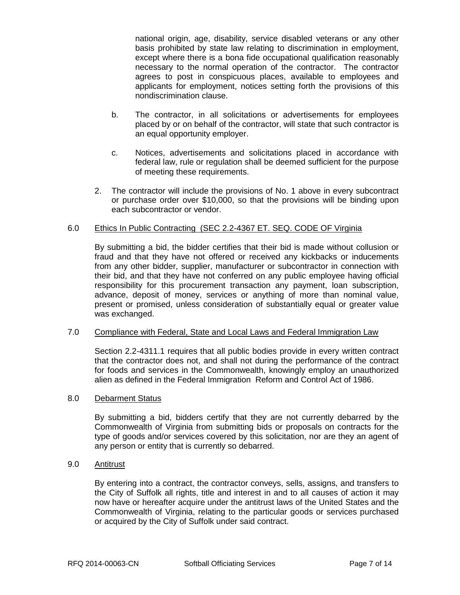national origin, age, disability, service disabled veterans or any other basis prohibited by state law relating to discrimination in employment, except where there is a bona fide occupational qualification reasonably necessary to the normal operation of the contractor. The contractor agrees to post in conspicuous places, available to employees and applicants for employment, notices setting forth the provisions of this nondiscrimination clause.

- b. The contractor, in all solicitations or advertisements for employees placed by or on behalf of the contractor, will state that such contractor is an equal opportunity employer.
- c. Notices, advertisements and solicitations placed in accordance with federal law, rule or regulation shall be deemed sufficient for the purpose of meeting these requirements.
- 2. The contractor will include the provisions of No. 1 above in every subcontract or purchase order over \$10,000, so that the provisions will be binding upon each subcontractor or vendor.

## 6.0 Ethics In Public Contracting (SEC 2.2-4367 ET. SEQ. CODE OF Virginia

By submitting a bid, the bidder certifies that their bid is made without collusion or fraud and that they have not offered or received any kickbacks or inducements from any other bidder, supplier, manufacturer or subcontractor in connection with their bid, and that they have not conferred on any public employee having official responsibility for this procurement transaction any payment, loan subscription, advance, deposit of money, services or anything of more than nominal value, present or promised, unless consideration of substantially equal or greater value was exchanged.

## 7.0 Compliance with Federal, State and Local Laws and Federal Immigration Law

Section 2.2-4311.1 requires that all public bodies provide in every written contract that the contractor does not, and shall not during the performance of the contract for foods and services in the Commonwealth, knowingly employ an unauthorized alien as defined in the Federal Immigration Reform and Control Act of 1986.

#### 8.0 Debarment Status

By submitting a bid, bidders certify that they are not currently debarred by the Commonwealth of Virginia from submitting bids or proposals on contracts for the type of goods and/or services covered by this solicitation, nor are they an agent of any person or entity that is currently so debarred.

#### 9.0 Antitrust

By entering into a contract, the contractor conveys, sells, assigns, and transfers to the City of Suffolk all rights, title and interest in and to all causes of action it may now have or hereafter acquire under the antitrust laws of the United States and the Commonwealth of Virginia, relating to the particular goods or services purchased or acquired by the City of Suffolk under said contract.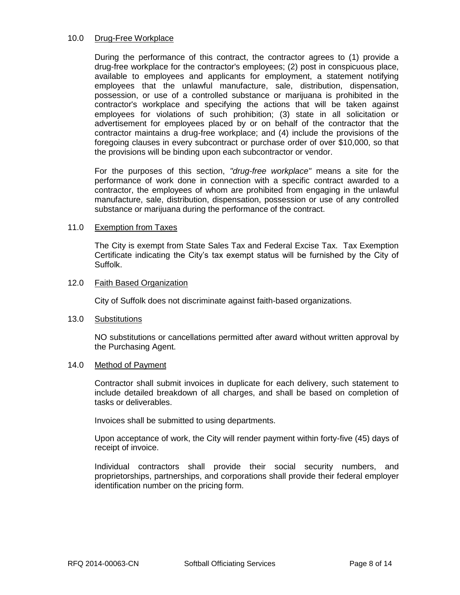#### 10.0 Drug-Free Workplace

During the performance of this contract, the contractor agrees to (1) provide a drug-free workplace for the contractor's employees; (2) post in conspicuous place, available to employees and applicants for employment, a statement notifying employees that the unlawful manufacture, sale, distribution, dispensation, possession, or use of a controlled substance or marijuana is prohibited in the contractor's workplace and specifying the actions that will be taken against employees for violations of such prohibition; (3) state in all solicitation or advertisement for employees placed by or on behalf of the contractor that the contractor maintains a drug-free workplace; and (4) include the provisions of the foregoing clauses in every subcontract or purchase order of over \$10,000, so that the provisions will be binding upon each subcontractor or vendor.

For the purposes of this section, *"drug-free workplace"* means a site for the performance of work done in connection with a specific contract awarded to a contractor, the employees of whom are prohibited from engaging in the unlawful manufacture, sale, distribution, dispensation, possession or use of any controlled substance or marijuana during the performance of the contract.

#### 11.0 Exemption from Taxes

The City is exempt from State Sales Tax and Federal Excise Tax. Tax Exemption Certificate indicating the City's tax exempt status will be furnished by the City of Suffolk.

#### 12.0 Faith Based Organization

City of Suffolk does not discriminate against faith-based organizations.

#### 13.0 Substitutions

NO substitutions or cancellations permitted after award without written approval by the Purchasing Agent.

#### 14.0 Method of Payment

Contractor shall submit invoices in duplicate for each delivery, such statement to include detailed breakdown of all charges, and shall be based on completion of tasks or deliverables.

Invoices shall be submitted to using departments.

Upon acceptance of work, the City will render payment within forty-five (45) days of receipt of invoice.

Individual contractors shall provide their social security numbers, and proprietorships, partnerships, and corporations shall provide their federal employer identification number on the pricing form.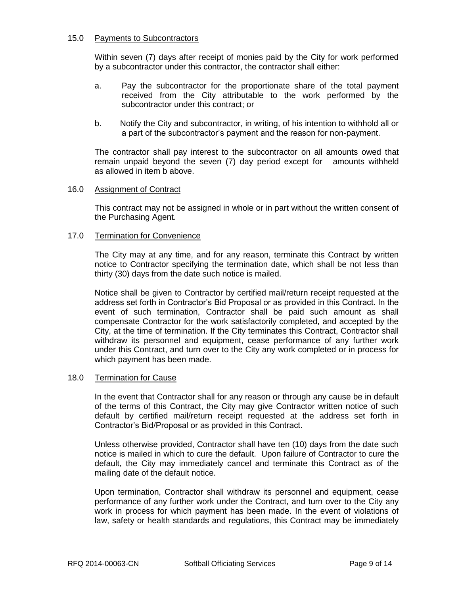#### 15.0 Payments to Subcontractors

Within seven (7) days after receipt of monies paid by the City for work performed by a subcontractor under this contractor, the contractor shall either:

- a. Pay the subcontractor for the proportionate share of the total payment received from the City attributable to the work performed by the subcontractor under this contract; or
- b. Notify the City and subcontractor, in writing, of his intention to withhold all or a part of the subcontractor's payment and the reason for non-payment.

The contractor shall pay interest to the subcontractor on all amounts owed that remain unpaid beyond the seven (7) day period except for amounts withheld as allowed in item b above.

#### 16.0 Assignment of Contract

This contract may not be assigned in whole or in part without the written consent of the Purchasing Agent.

### 17.0 Termination for Convenience

The City may at any time, and for any reason, terminate this Contract by written notice to Contractor specifying the termination date, which shall be not less than thirty (30) days from the date such notice is mailed.

Notice shall be given to Contractor by certified mail/return receipt requested at the address set forth in Contractor's Bid Proposal or as provided in this Contract. In the event of such termination, Contractor shall be paid such amount as shall compensate Contractor for the work satisfactorily completed, and accepted by the City, at the time of termination. If the City terminates this Contract, Contractor shall withdraw its personnel and equipment, cease performance of any further work under this Contract, and turn over to the City any work completed or in process for which payment has been made.

#### 18.0 Termination for Cause

In the event that Contractor shall for any reason or through any cause be in default of the terms of this Contract, the City may give Contractor written notice of such default by certified mail/return receipt requested at the address set forth in Contractor's Bid/Proposal or as provided in this Contract.

Unless otherwise provided, Contractor shall have ten (10) days from the date such notice is mailed in which to cure the default. Upon failure of Contractor to cure the default, the City may immediately cancel and terminate this Contract as of the mailing date of the default notice.

Upon termination, Contractor shall withdraw its personnel and equipment, cease performance of any further work under the Contract, and turn over to the City any work in process for which payment has been made. In the event of violations of law, safety or health standards and regulations, this Contract may be immediately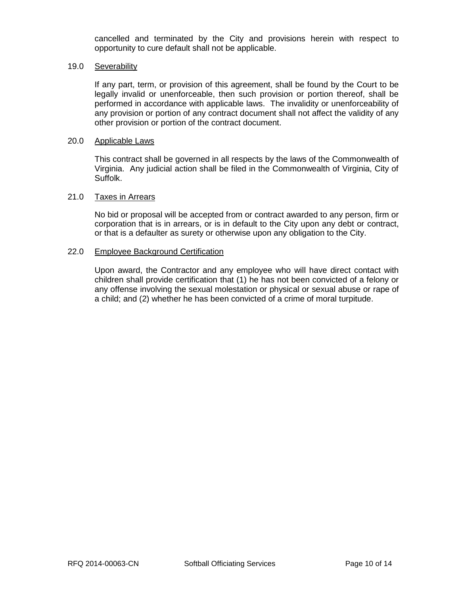cancelled and terminated by the City and provisions herein with respect to opportunity to cure default shall not be applicable.

### 19.0 Severability

If any part, term, or provision of this agreement, shall be found by the Court to be legally invalid or unenforceable, then such provision or portion thereof, shall be performed in accordance with applicable laws. The invalidity or unenforceability of any provision or portion of any contract document shall not affect the validity of any other provision or portion of the contract document.

### 20.0 Applicable Laws

This contract shall be governed in all respects by the laws of the Commonwealth of Virginia. Any judicial action shall be filed in the Commonwealth of Virginia, City of Suffolk.

#### 21.0 Taxes in Arrears

No bid or proposal will be accepted from or contract awarded to any person, firm or corporation that is in arrears, or is in default to the City upon any debt or contract, or that is a defaulter as surety or otherwise upon any obligation to the City.

#### 22.0 Employee Background Certification

Upon award, the Contractor and any employee who will have direct contact with children shall provide certification that (1) he has not been convicted of a felony or any offense involving the sexual molestation or physical or sexual abuse or rape of a child; and (2) whether he has been convicted of a crime of moral turpitude.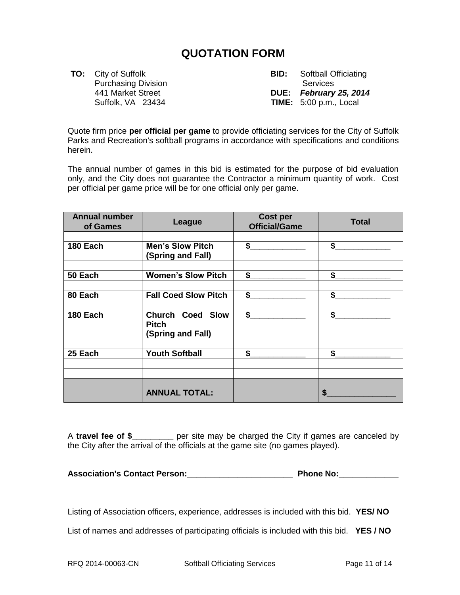## **QUOTATION FORM**

Purchasing Division **Services** Services

**TO:** City of Suffolk **BID:** Softball Officiating 441 Market Street **DUE:** *February 25, 2014* Suffolk, VA 23434 **TIME:** 5:00 p.m., Local

Quote firm price **per official per game** to provide officiating services for the City of Suffolk Parks and Recreation's softball programs in accordance with specifications and conditions herein.

The annual number of games in this bid is estimated for the purpose of bid evaluation only, and the City does not guarantee the Contractor a minimum quantity of work. Cost per official per game price will be for one official only per game.

| <b>Annual number</b><br>of Games | League                                                       | <b>Cost per</b><br><b>Official/Game</b> | <b>Total</b> |
|----------------------------------|--------------------------------------------------------------|-----------------------------------------|--------------|
|                                  |                                                              |                                         |              |
| 180 Each                         | <b>Men's Slow Pitch</b>                                      | $\mathsf S$                             | \$           |
|                                  | (Spring and Fall)                                            |                                         |              |
|                                  |                                                              |                                         |              |
| 50 Each                          | <b>Women's Slow Pitch</b>                                    | \$                                      | \$           |
|                                  |                                                              |                                         |              |
| 80 Each                          | <b>Fall Coed Slow Pitch</b>                                  | \$                                      | \$           |
|                                  |                                                              |                                         |              |
| 180 Each                         | <b>Church Coed Slow</b><br><b>Pitch</b><br>(Spring and Fall) | \$                                      | \$           |
|                                  |                                                              |                                         |              |
| 25 Each                          | <b>Youth Softball</b>                                        | \$                                      | \$           |
|                                  |                                                              |                                         |              |
|                                  |                                                              |                                         |              |
|                                  | <b>ANNUAL TOTAL:</b>                                         |                                         | S            |

A **travel fee of \$\_\_\_\_\_\_\_\_\_** per site may be charged the City if games are canceled by the City after the arrival of the officials at the game site (no games played).

**Association's Contact Person:\_\_\_\_\_\_\_\_\_\_\_\_\_\_\_\_\_\_\_\_\_\_\_ Phone No:\_\_\_\_\_\_\_\_\_\_\_\_\_**

Listing of Association officers, experience, addresses is included with this bid. **YES/ NO** List of names and addresses of participating officials is included with this bid. **YES / NO**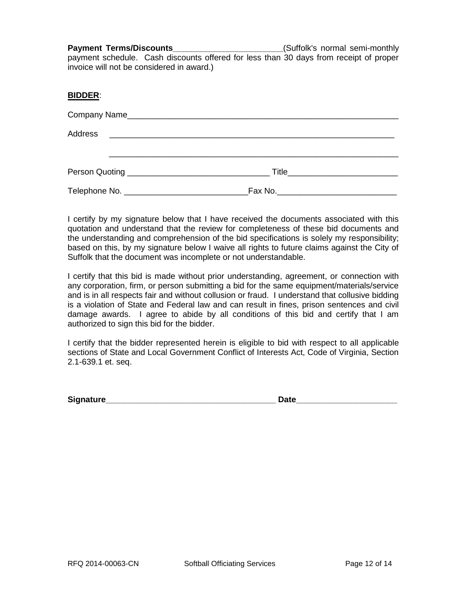Payment Terms/Discounts\_\_\_\_\_\_\_\_\_\_\_\_\_\_\_\_\_\_\_\_\_\_\_\_\_\_\_(Suffolk's normal semi-monthly payment schedule. Cash discounts offered for less than 30 days from receipt of proper invoice will not be considered in award.)

#### **BIDDER**:

| Company Name |                                         |  |
|--------------|-----------------------------------------|--|
|              |                                         |  |
|              |                                         |  |
|              | Fax No.________________________________ |  |

I certify by my signature below that I have received the documents associated with this quotation and understand that the review for completeness of these bid documents and the understanding and comprehension of the bid specifications is solely my responsibility; based on this, by my signature below I waive all rights to future claims against the City of Suffolk that the document was incomplete or not understandable.

I certify that this bid is made without prior understanding, agreement, or connection with any corporation, firm, or person submitting a bid for the same equipment/materials/service and is in all respects fair and without collusion or fraud. I understand that collusive bidding is a violation of State and Federal law and can result in fines, prison sentences and civil damage awards. I agree to abide by all conditions of this bid and certify that I am authorized to sign this bid for the bidder.

I certify that the bidder represented herein is eligible to bid with respect to all applicable sections of State and Local Government Conflict of Interests Act, Code of Virginia, Section 2.1-639.1 et. seq.

**Signature\_\_\_\_\_\_\_\_\_\_\_\_\_\_\_\_\_\_\_\_\_\_\_\_\_\_\_\_\_\_\_\_\_\_\_\_\_ Date\_\_\_\_\_\_\_\_\_\_\_\_\_\_\_\_\_\_\_\_\_\_**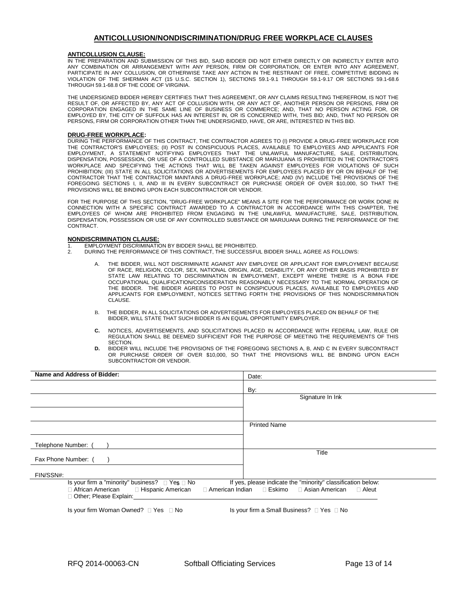#### **ANTICOLLUSION/NONDISCRIMINATION/DRUG FREE WORKPLACE CLAUSES**

#### **ANTICOLLUSION CLAUSE:**

IN THE PREPARATION AND SUBMISSION OF THIS BID, SAID BIDDER DID NOT EITHER DIRECTLY OR INDIRECTLY ENTER INTO ANY COMBINATION OR ARRANGEMENT WITH ANY PERSON, FIRM OR CORPORATION, OR ENTER INTO ANY AGREEMENT, PARTICIPATE IN ANY COLLUSION, OR OTHERWISE TAKE ANY ACTION IN THE RESTRAINT OF FREE, COMPETITIVE BIDDING IN VIOLATION OF THE SHERMAN ACT (15 U.S.C. SECTION 1), SECTIONS 59.1-9.1 THROUGH 59.1-9.17 OR SECTIONS 59.1-68.6 THROUGH 59.1-68.8 OF THE CODE OF VIRGINIA.

THE UNDERSIGNED BIDDER HEREBY CERTIFIES THAT THIS AGREEMENT, OR ANY CLAIMS RESULTING THEREFROM, IS NOT THE RESULT OF, OR AFFECTED BY, ANY ACT OF COLLUSION WITH, OR ANY ACT OF, ANOTHER PERSON OR PERSONS, FIRM OR CORPORATION ENGAGED IN THE SAME LINE OF BUSINESS OR COMMERCE; AND, THAT NO PERSON ACTING FOR, OR EMPLOYED BY, THE CITY OF SUFFOLK HAS AN INTEREST IN, OR IS CONCERNED WITH, THIS BID; AND, THAT NO PERSON OR PERSONS, FIRM OR CORPORATION OTHER THAN THE UNDERSIGNED, HAVE, OR ARE, INTERESTED IN THIS BID.

#### **DRUG-FREE WORKPLACE:**

DURING THE PERFORMANCE OF THIS CONTRACT, THE CONTRACTOR AGREES TO (I) PROVIDE A DRUG-FREE WORKPLACE FOR THE CONTRACTOR'S EMPLOYEES; (II) POST IN CONSPICUOUS PLACES, AVAILABLE TO EMPLOYEES AND APPLICANTS FOR EMPLOYMENT, A STATEMENT NOTIFYING EMPLOYEES THAT THE UNLAWFUL MANUFACTURE, SALE, DISTRIBUTION, DISPENSATION, POSSESSION, OR USE OF A CONTROLLED SUBSTANCE OR MARIJUANA IS PROHIBITED IN THE CONTRACTOR'S WORKPLACE AND SPECIFYING THE ACTIONS THAT WILL BE TAKEN AGAINST EMPLOYEES FOR VIOLATIONS OF SUCH PROHIBITION; (III) STATE IN ALL SOLICITATIONS OR ADVERTISEMENTS FOR EMPLOYEES PLACED BY OR ON BEHALF OF THE CONTRACTOR THAT THE CONTRACTOR MAINTAINS A DRUG-FREE WORKPLACE; AND (IV) INCLUDE THE PROVISIONS OF THE FOREGOING SECTIONS I, II, AND III IN EVERY SUBCONTRACT OR PURCHASE ORDER OF OVER \$10,000, SO THAT THE PROVISIONS WILL BE BINDING UPON EACH SUBCONTRACTOR OR VENDOR.

FOR THE PURPOSE OF THIS SECTION, "DRUG-FREE WORKPLACE" MEANS A SITE FOR THE PERFORMANCE OR WORK DONE IN CONNECTION WITH A SPECIFIC CONTRACT AWARDED TO A CONTRACTOR IN ACCORDANCE WITH THIS CHAPTER, THE EMPLOYEES OF WHOM ARE PROHIBITED FROM ENGAGING IN THE UNLAWFUL MANUFACTURE, SALE, DISTRIBUTION, DISPENSATION, POSSESSION OR USE OF ANY CONTROLLED SUBSTANCE OR MARIJUANA DURING THE PERFORMANCE OF THE CONTRACT.

#### **NONDISCRIMINATION CLAUSE:**

- 1. EMPLOYMENT DISCRIMINATION BY BIDDER SHALL BE PROHIBITED.<br>2. DURING THE PEREORMANCE OF THIS CONTRACT, THE SUCCESSEL
- 2. DURING THE PERFORMANCE OF THIS CONTRACT, THE SUCCESSFUL BIDDER SHALL AGREE AS FOLLOWS:
	- THE BIDDER, WILL NOT DISCRIMINATE AGAINST ANY EMPLOYEE OR APPLICANT FOR EMPLOYMENT BECAUSE OF RACE, RELIGION, COLOR, SEX, NATIONAL ORIGIN, AGE, DISABILITY, OR ANY OTHER BASIS PROHIBITED BY STATE LAW RELATING TO DISCRIMINATION IN EMPLOYMENT, EXCEPT WHERE THERE IS A BONA FIDE OCCUPATIONAL QUALIFICATION/CONSIDERATION REASONABLY NECESSARY TO THE NORMAL OPERATION OF THE BIDDER. THE BIDDER AGREES TO POST IN CONSPICUOUS PLACES, AVAILABLE TO EMPLOYEES AND APPLICANTS FOR EMPLOYMENT, NOTICES SETTING FORTH THE PROVISIONS OF THIS NONDISCRIMINATION CLAUSE.
	- B. THE BIDDER, IN ALL SOLICITATIONS OR ADVERTISEMENTS FOR EMPLOYEES PLACED ON BEHALF OF THE BIDDER, WILL STATE THAT SUCH BIDDER IS AN EQUAL OPPORTUNITY EMPLOYER.
	- **C.** NOTICES, ADVERTISEMENTS, AND SOLICITATIONS PLACED IN ACCORDANCE WITH FEDERAL LAW, RULE OR REGULATION SHALL BE DEEMED SUFFICIENT FOR THE PURPOSE OF MEETING THE REQUIREMENTS OF THIS **SECTION**
	- **D.** BIDDER WILL INCLUDE THE PROVISIONS OF THE FOREGOING SECTIONS A, B, AND C IN EVERY SUBCONTRACT OR PURCHASE ORDER OF OVER \$10,000, SO THAT THE PROVISIONS WILL BE BINDING UPON EACH SUBCONTRACTOR OR VENDOR.

| Name and Address of Bidder:                                                                                                                          | Date:                                                                                                        |
|------------------------------------------------------------------------------------------------------------------------------------------------------|--------------------------------------------------------------------------------------------------------------|
|                                                                                                                                                      | By:                                                                                                          |
|                                                                                                                                                      | Signature In Ink                                                                                             |
|                                                                                                                                                      |                                                                                                              |
|                                                                                                                                                      | <b>Printed Name</b>                                                                                          |
|                                                                                                                                                      |                                                                                                              |
| Telephone Number:                                                                                                                                    |                                                                                                              |
| Fax Phone Number: (                                                                                                                                  | Title                                                                                                        |
| FIN/SSN#:                                                                                                                                            |                                                                                                              |
| Is your firm a "minority" business? $\Box$ Yes $\Box$ No<br>□ African American<br>□ American Indian<br>□ Hispanic American<br>Other; Please Explain: | If yes, please indicate the "minority" classification below:<br>⊟ Eskimo<br>□ Asian American<br>$\Box$ Aleut |
| Is your firm Woman Owned? $\Box$ Yes $\Box$ No                                                                                                       | Is your firm a Small Business? □ Yes □ No                                                                    |